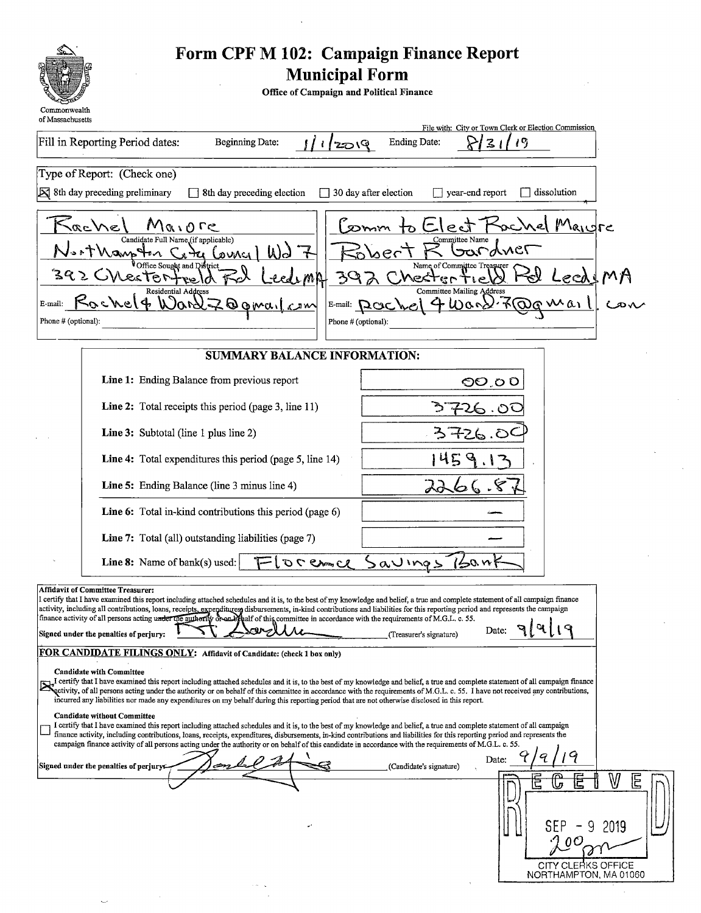

 $\bar{z}$ 

# Form CPF M 102: Campaign Finance Report<br>Municipal Form

Office of Campaign and Political Finance

| of Massachusetts               |                                                                                                                                                                                                                                                                                                                                                                                                                                                                                                                                                                                                                                                                                                                                                                                                                                                                                                                                                                                                                                                                                                                                                                                                                                                          | File with: City or Town Clerk or Election Commission                        |
|--------------------------------|----------------------------------------------------------------------------------------------------------------------------------------------------------------------------------------------------------------------------------------------------------------------------------------------------------------------------------------------------------------------------------------------------------------------------------------------------------------------------------------------------------------------------------------------------------------------------------------------------------------------------------------------------------------------------------------------------------------------------------------------------------------------------------------------------------------------------------------------------------------------------------------------------------------------------------------------------------------------------------------------------------------------------------------------------------------------------------------------------------------------------------------------------------------------------------------------------------------------------------------------------------|-----------------------------------------------------------------------------|
|                                | Fill in Reporting Period dates:<br><b>Beginning Date:</b><br>1/2019                                                                                                                                                                                                                                                                                                                                                                                                                                                                                                                                                                                                                                                                                                                                                                                                                                                                                                                                                                                                                                                                                                                                                                                      | <b>Ending Date:</b><br>19<br>2                                              |
|                                | Type of Report: (Check one)                                                                                                                                                                                                                                                                                                                                                                                                                                                                                                                                                                                                                                                                                                                                                                                                                                                                                                                                                                                                                                                                                                                                                                                                                              |                                                                             |
|                                | $\triangleright$ 8th day preceding preliminary<br>$\Box$ 8th day preceding election                                                                                                                                                                                                                                                                                                                                                                                                                                                                                                                                                                                                                                                                                                                                                                                                                                                                                                                                                                                                                                                                                                                                                                      | 30 day after election<br>$\Box$ year-end report<br>dissolution              |
|                                | vache'<br>$Q \cup Q \cap Q$<br>Candidate Full Name (if applicable)                                                                                                                                                                                                                                                                                                                                                                                                                                                                                                                                                                                                                                                                                                                                                                                                                                                                                                                                                                                                                                                                                                                                                                                       | ochel Maigre<br>ect<br>$\infty$ mm<br>Committee Name                        |
|                                | t Manp Hon<br>WS<br>Council<br>≤ಗ<br>fice Sought and District                                                                                                                                                                                                                                                                                                                                                                                                                                                                                                                                                                                                                                                                                                                                                                                                                                                                                                                                                                                                                                                                                                                                                                                            | bardner<br>bert<br>Name of Committee Treasurer                              |
|                                | Nestertee<br>むぬけ<br>39<br><b>Residential Address</b>                                                                                                                                                                                                                                                                                                                                                                                                                                                                                                                                                                                                                                                                                                                                                                                                                                                                                                                                                                                                                                                                                                                                                                                                     | MA<br>Checter<br>Leca<br>م الم<br><b>Committee Mailing Address</b>          |
| E-mail:<br>Phone # (optional): | Ooma <u>lcom</u><br>حه د ۱۹م ۱                                                                                                                                                                                                                                                                                                                                                                                                                                                                                                                                                                                                                                                                                                                                                                                                                                                                                                                                                                                                                                                                                                                                                                                                                           | 7@gwail<br>$4$ Were<br>$E$ -mail: $QOC$ <sub>be</sub><br>Phone # (optional) |
|                                | <b>SUMMARY BALANCE INFORMATION:</b>                                                                                                                                                                                                                                                                                                                                                                                                                                                                                                                                                                                                                                                                                                                                                                                                                                                                                                                                                                                                                                                                                                                                                                                                                      |                                                                             |
|                                | Line 1: Ending Balance from previous report                                                                                                                                                                                                                                                                                                                                                                                                                                                                                                                                                                                                                                                                                                                                                                                                                                                                                                                                                                                                                                                                                                                                                                                                              | ೦ <b>೦</b> .೦೦                                                              |
|                                | Line 2: Total receipts this period (page 3, line 11)                                                                                                                                                                                                                                                                                                                                                                                                                                                                                                                                                                                                                                                                                                                                                                                                                                                                                                                                                                                                                                                                                                                                                                                                     | 26.OC                                                                       |
|                                | Line 3: Subtotal (line 1 plus line 2)                                                                                                                                                                                                                                                                                                                                                                                                                                                                                                                                                                                                                                                                                                                                                                                                                                                                                                                                                                                                                                                                                                                                                                                                                    | 3726.0                                                                      |
|                                | Line 4: Total expenditures this period (page 5, line 14)                                                                                                                                                                                                                                                                                                                                                                                                                                                                                                                                                                                                                                                                                                                                                                                                                                                                                                                                                                                                                                                                                                                                                                                                 | 45                                                                          |
|                                | Line 5: Ending Balance (line 3 minus line 4)                                                                                                                                                                                                                                                                                                                                                                                                                                                                                                                                                                                                                                                                                                                                                                                                                                                                                                                                                                                                                                                                                                                                                                                                             | 29                                                                          |
|                                | Line 6: Total in-kind contributions this period (page 6)                                                                                                                                                                                                                                                                                                                                                                                                                                                                                                                                                                                                                                                                                                                                                                                                                                                                                                                                                                                                                                                                                                                                                                                                 |                                                                             |
|                                | Line 7: Total (all) outstanding liabilities (page 7)                                                                                                                                                                                                                                                                                                                                                                                                                                                                                                                                                                                                                                                                                                                                                                                                                                                                                                                                                                                                                                                                                                                                                                                                     |                                                                             |
|                                | Line 8: Name of bank(s) used:<br>$S_{\text{max}}$ or $J$                                                                                                                                                                                                                                                                                                                                                                                                                                                                                                                                                                                                                                                                                                                                                                                                                                                                                                                                                                                                                                                                                                                                                                                                 | Sauings<br>160 m                                                            |
|                                | <b>Affidavit of Committee Treasurer:</b><br>I certify that I have examined this report including attached schedules and it is, to the best of my knowledge and belief, a true and complete statement of all campaign finance<br>activity, including all contributions, loans, receipts, expenditures disbursements, in-kind contributions and liabilities for this reporting period and represents the campaign<br>finance activity of all persons acting under the authority of an of the committee in accordance with the requirements of M.G.L. c. 55.<br><b>. ו</b> ע.<br>Signed under the penalties of perjury:<br>FOR CANDIDATE FILINGS ONLY: Affidavit of Candidate: (check 1 box only)<br><b>Candidate with Committee</b><br>J certify that I have examined this report including attached schedules and it is, to the best of my knowledge and belief, a true and complete statement of all campaign finance<br>ectivity, of all persons acting under the authority or on behalf of this committee in accordance with the requirements of M.G.L. c. 55. I have not received any contributions,<br>incurred any liabilities nor made any expenditures on my behalf during this reporting period that are not otherwise disclosed in this report. | 91419<br>Date:<br>(Treasurer's signature)                                   |
|                                | <b>Candidate without Committee</b><br>I certify that I have examined this report including attached schedules and it is, to the best of my knowledge and belief, a true and complete statement of all campaign<br>finance activity, including contributions, loans, receipts, expenditures, disbursements, in-kind contributions and liabilities for this reporting period and represents the<br>campaign finance activity of all persons acting under the authority or on behalf of this candidate in accordance with the requirements of M.G.L. c. 55.                                                                                                                                                                                                                                                                                                                                                                                                                                                                                                                                                                                                                                                                                                 | 9                                                                           |
|                                | Signed under the penalties of perjurys                                                                                                                                                                                                                                                                                                                                                                                                                                                                                                                                                                                                                                                                                                                                                                                                                                                                                                                                                                                                                                                                                                                                                                                                                   | Date:<br>(Candidate's signature)<br>W<br>Ξ<br>心<br>SEP<br>9<br>2019         |
|                                |                                                                                                                                                                                                                                                                                                                                                                                                                                                                                                                                                                                                                                                                                                                                                                                                                                                                                                                                                                                                                                                                                                                                                                                                                                                          | CITY CLERKS OFFICE<br>NORTHAMPTON, MA 01060                                 |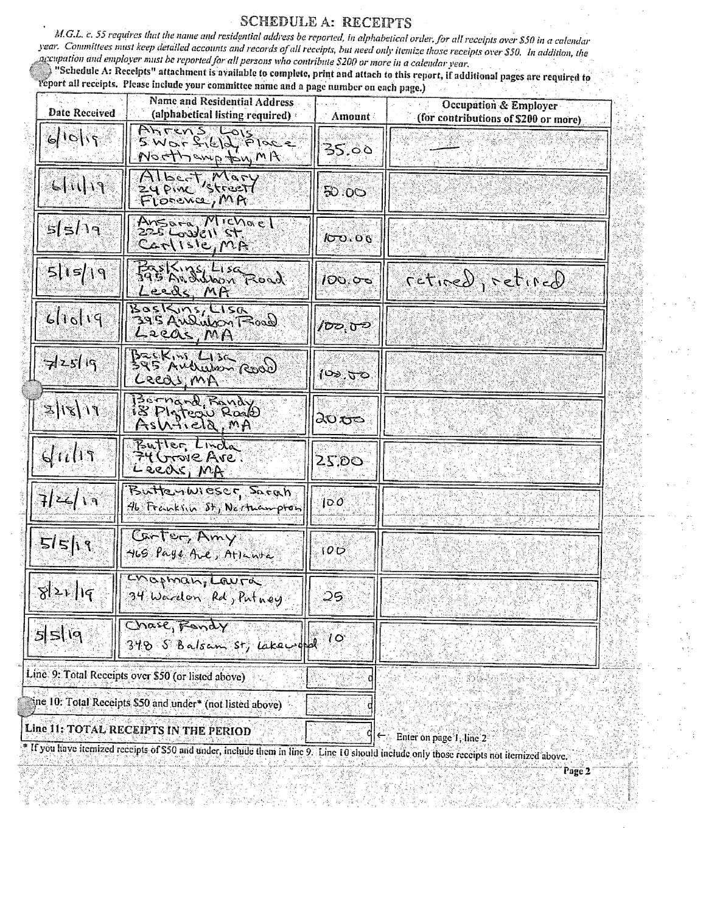#### **SCHEDULE A: RECEIPTS**

M.G.L. c. 55 requires that the name and residential address be reported, in alphabetical order, for all receipts over \$50 in a calendar year. Committees must keep detailed accounts and records of all receipts, but need only itemize those receipts over \$50. In addition, the accupation and employer must be reported for all persons who contribute \$200 or more in a calendar year.

"Schedule A: Receipts" attachment is available to complete, print and attach to this report, if additional pages are required to veport all receipts. Please include your committee name and a page number on each page.) чÿ.

| <b>Date Received</b>   | <b>Name and Residential Address</b><br>(alphabetical listing required) | Amount             | Occupation & Employer<br>(for contributions of \$200 or more) |  |  |
|------------------------|------------------------------------------------------------------------|--------------------|---------------------------------------------------------------|--|--|
| 6 10                   | Ahrens Lois<br>$5.05 - 2.612$ , $61.2 - 2.00$<br>Northewn ton, MIT     | 35.00              |                                                               |  |  |
| f(I)                   | Albert, Mary<br>Florence, MA                                           | 50.00              |                                                               |  |  |
| $s$ ( $s$ /۱۹          | Ansara, Michael<br>225 Lossell St<br>Carlisle, MA                      | 100.06             |                                                               |  |  |
| 5115/19                | Basking Liza<br><u>Leeds MA</u>                                        | 100,06             | $G$ of $I$ ine $\partial$ , $\partial$ is $\partial$          |  |  |
| $6$ lioliq             | Boskins, Lisa<br>395 Audubon Tood<br>Leeas, MA                         | /రాం.రా            |                                                               |  |  |
| 72519                  | BREKIN, LISK<br>395 Audules-Rood<br>Cecas MA                           | (౪ం, $\tau$ ం      |                                                               |  |  |
| $F \mid  Z  \mid \leq$ | 130 mand Randy<br>IS PINTEON ROAD<br>AsWilla, MA                       | 20 <del>ಕ</del> ಿಂ |                                                               |  |  |
| $d$ $ii$ $h$           | Butter Linda<br>74 Grove Ave<br>Leeds, MA                              | 25.50              |                                                               |  |  |
| 7/22/19                | ButterIWIESEF Sarah<br>46 Franklin St, Neithampton                     | 100                |                                                               |  |  |
| 5151                   | Carter, Amy<br>HLG Paye Ave, Atlantic                                  | 100                |                                                               |  |  |
| 821 q                  | Chopmanicaura<br>34 Wardon Rd, Putney                                  | 25                 |                                                               |  |  |
| 5519                   | Chase, Fandy<br>$348.5$ Balsam st, lakeworld                           | $10^{\circ}$       |                                                               |  |  |
|                        | Line 9: Total Receipts over \$50 (or listed above)                     |                    |                                                               |  |  |
|                        | ane 10: Total Receipts \$50 and under* (not listed above)              |                    |                                                               |  |  |
|                        | Line 11: TOTAL RECEIPTS IN THE PERIOD                                  |                    | $\leftarrow$ Enter on page 1, line 2                          |  |  |

29242258880

さぎに (多数)機関

\* If you have itemized receipts of \$50 and under, include them in line 2. Line 10 should include only those receipts not itemized above. an an ر بازار بازد.<br>سالگاه بازار بازار

τğ

Page 2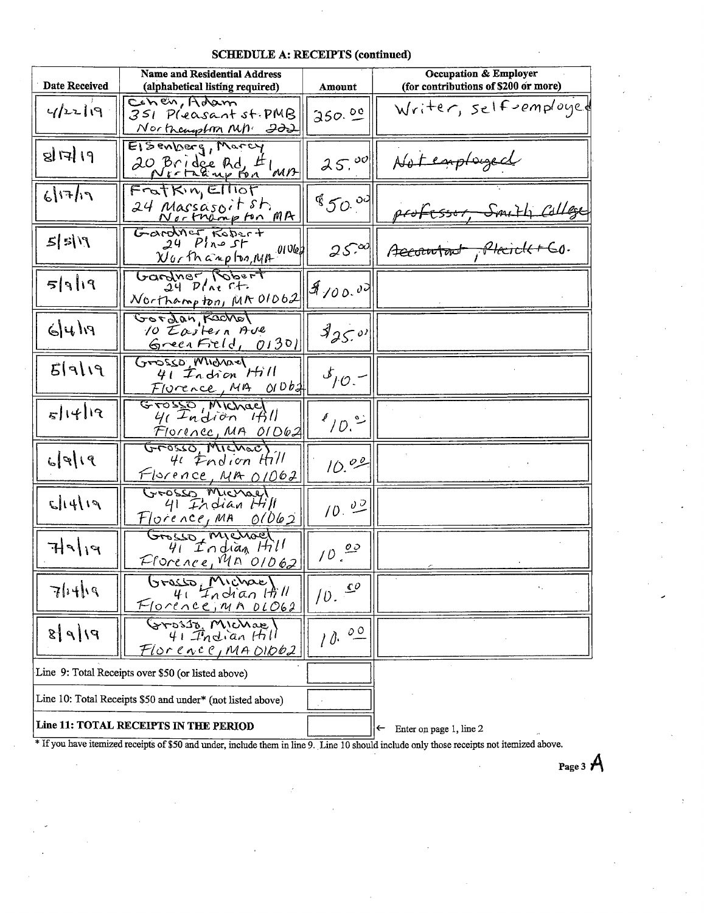| <b>Date Received</b>                               | <b>Name and Residential Address</b><br>(alphabetical listing required)              | Amount                      | <b>Occupation &amp; Employer</b><br>(for contributions of \$200 or more) |
|----------------------------------------------------|-------------------------------------------------------------------------------------|-----------------------------|--------------------------------------------------------------------------|
| 4/22/9                                             | CONER, Holam<br>351 Pleasant st. PMB<br>Northcampton MM. 222                        | 350.00                      | Writer, self-employed                                                    |
| डो।त्री १४                                         | Elsenberg, Warch<br>20 Bridge Rd, #1 MB                                             | 25.00                       | Notemployed                                                              |
| 61713                                              | FratKin, Elliot<br>24 Massasoit sh<br>Northampton MA                                | 8500                        | Fessor Smith College                                                     |
| $f' \leq  Z $                                      | Gardner Robert<br>$\frac{N_{Gf}f_{h} a_{\mu} \rho f_{b} g_{\mu}}{N_{h} \rho}$ (106) | 250                         | Accountent, Plecide + 60.                                                |
| $P f  \leq$                                        | Gardner Robert<br>Northampton, MR 01062                                             | 8100.00                     |                                                                          |
| $F(\downarrow \downarrow)$                         | Gordan Rochel<br>10 Eastern Ave<br>GreenErel, 01301                                 | 8250                        |                                                                          |
| f f g                                              | Grosso, Michael<br>$41$ Indian $Hill$<br>Florence, MA 010b2                         | $\mathcal{I}_{10}$          |                                                                          |
| 5 14 19                                            | Grosso Michael<br><u>Florencc, MA OID62</u>                                         | $^{\ell}/\varrho$ . $\cong$ |                                                                          |
| $\mathcal{L}[\varphi](q)$                          | Grosso Mchec<br>41 <i>Endion</i> Hill<br><u>Florence, MA 01062</u>                  | 10.00                       |                                                                          |
| 51419                                              | GEOSSO MICHAel<br>$41$ Indian Hill<br>$Florence1MR 01062$                           | 10.02                       |                                                                          |
| 71919                                              | Grosso, Michael<br>41 Indian Hill<br>Florence, Man'01062                            | $10^{00}$                   |                                                                          |
| $71+19$                                            | Grasso Michael<br>Florence, MA DLO62                                                | 10.                         | ٠.                                                                       |
| $P/ P $ 8                                          | $\frac{1}{41} \frac{M_1 \cos \theta}{T_1 \sin \theta}$<br>Florence, MA OIO62        | 10.00                       |                                                                          |
| Line 9: Total Receipts over \$50 (or listed above) |                                                                                     |                             |                                                                          |
|                                                    | Line 10: Total Receipts \$50 and under* (not listed above)                          |                             |                                                                          |
|                                                    | Line 11: TOTAL RECEIPTS IN THE PERIOD                                               |                             | Enter on page 1, line 2<br>$\leftarrow$                                  |

#### **SCHEDULE A: RECEIPTS (continued)**

\* If you have itemized receipts of \$50 and under, include them in line 9. Line 10 should include only those receipts not itemized above.

Page 3  $A$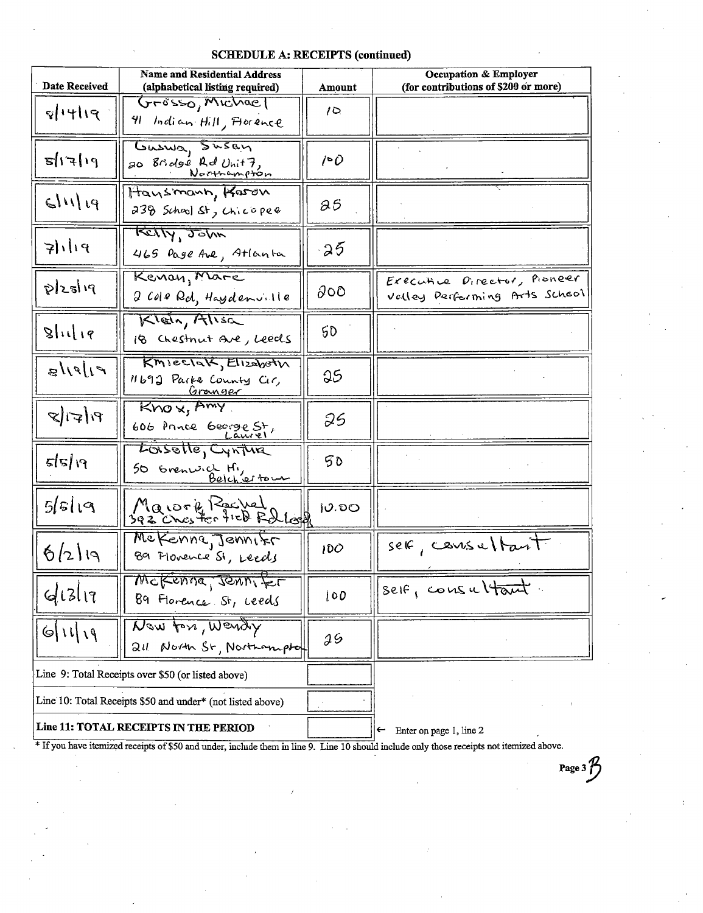| Date Received         | <b>Name and Residential Address</b><br>(alphabetical listing required) | Amount | Occupation & Employer<br>(for contributions of \$200 or more) |
|-----------------------|------------------------------------------------------------------------|--------|---------------------------------------------------------------|
| 81419                 | Grosso, Michael<br>91 Indian Hill, Forence                             | 10     |                                                               |
| $f_1   \neq   \infty$ | Guswa, Susan<br>20 Bridge Rd Unit7,                                    | /∘0    |                                                               |
| 91112                 | Hansmann, Karen<br>238 School St, Chicopee                             | 85     |                                                               |
| 7119                  | Ketty, John<br>465 Dage Ave, Atlanta                                   | 25     |                                                               |
| plzslıq               | Kenan, Mare<br>2 Cole Rd, Haydenville                                  | ଌ୦୦    | Executive Director, Pioneer<br>Valley Performing Arts School  |
| $\mathsf{glu}(1q)$    | Klein, Alisa<br>18 Chestnut Are, Leeds                                 | 50     |                                                               |
| f  g  g               | KMIECIAK, Elizabeth<br>11692 Parke County Cir,<br><u>Granger</u>       | 25     |                                                               |
| $P( \nabla )$         | Knox, Amy<br>606 Prince George St,                                     | 25     |                                                               |
| 55/19                 | Lossette, Cynture<br>50 Grenwich Hi,                                   | 50     |                                                               |
| 5 5 19                | Maiorie Rachel<br>392 Chester field Rollege                            | 0.00   |                                                               |
| 6/219                 | We Kenne Jennifr<br>89 Florence St, Leeds                              | 100    | seic, course/tant                                             |
| 41311                 | Wekenne, ronnifer<br>89 Florence St, ceeds                             | 100    | self, consultant.                                             |
| $ $ 6   1   1   1     | New for, Wendy<br>211 North St, Northamptof                            | э5     |                                                               |
|                       | Line 9: Total Receipts over \$50 (or listed above)                     |        |                                                               |
|                       | Line 10: Total Receipts \$50 and under* (not listed above)             |        |                                                               |
|                       | <b>Line 11: TOTAL RECEIPTS IN THE PERIOD</b>                           |        | $\leftarrow$ Enter on page 1, line 2                          |

**SCHEDULE A: RECEIPTS (continued)** 

\* If you have itemized receipts of \$50 and under, include them in line 9. Line 10 should include only those receipts not itemized above.

Page 3 $\mathcal{P}$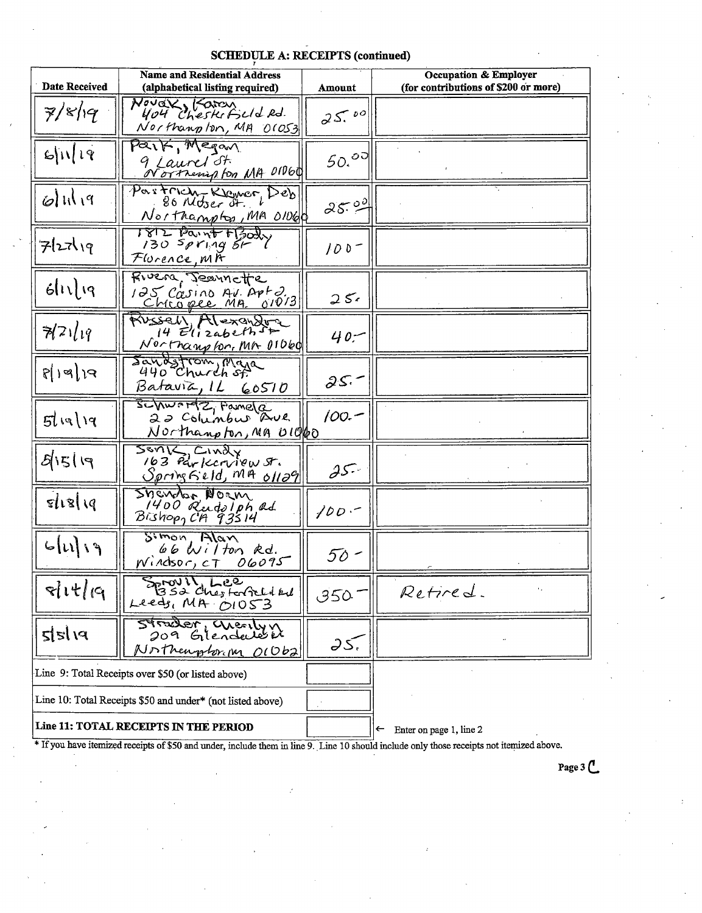# **SCHEDULE A: RECEIPTS (continued)**

| Date Received       | <b>Name and Residential Address</b><br>(alphabetical listing required)     | Amount  | Occupation & Employer<br>(for contributions of \$200 or more) |
|---------------------|----------------------------------------------------------------------------|---------|---------------------------------------------------------------|
| 7/8/19              | Nover, Karan<br>404 Cheskifield Rd.<br>Northanplon, MA 01053               | 25.00   |                                                               |
| 6 1 19              | Park, Megan<br>9 Laurel St.<br>Northering for MA 01060                     | 50.00   |                                                               |
| $\omega$ lil 19     | Partrich-Klamer, Deb<br>Northampton, MA 01060                              | 25.99   |                                                               |
| 727119              | 1812 Paint FBODY<br>Florence, mit                                          | $100-$  |                                                               |
| $6  \iota  \iota q$ | Fivera Jeannette<br>125 Casino Av. Apto.<br><u>Chrogee MA. 01013</u>       | $25 -$  |                                                               |
| 72119               | Wssell Mexandor<br><u>Nortnampton, MA OIDEO</u>                            | $40 -$  |                                                               |
| हां। बोख            | Sandstrom, Maja<br>Batavia, 1L 60510                                       | $25 -$  |                                                               |
| 5119/19             | Schwardz, Famela<br>22 Columbus Ave<br>Northampton, MA UIQQO               | $100 -$ |                                                               |
| 51519               | SONK, CINDLY<br>163 Parkcrivew St.<br>$S_{\rho\text{m}}$ ng Geld, MA 01129 | $25 -$  |                                                               |
| sl18 19             | Sheretor Norm<br>1400 Rudolph ad<br>$Bi$ shop, CA $93514$                  | $100 -$ |                                                               |
| 6 11 3              | $S^{imon}$ , Alan<br>$66$ Wilton Rd.<br>Windsor, CT 06095                  | 50 -    |                                                               |
| 81177               | FOUIL Lee<br>Leeds, $MH$ $OIO53$                                           | 350.    | Retired.                                                      |
| 215/18              | <u> Zdearfol</u><br>arealyn<br>Glendardi<br>209<br>Northerophorion O10621  | 25,     |                                                               |
|                     | Line 9: Total Receipts over \$50 (or listed above)                         |         |                                                               |
|                     | Line 10: Total Receipts \$50 and under* (not listed above)                 |         |                                                               |
|                     | Line 11: TOTAL RECEIPTS IN THE PERIOD                                      |         | Enter on page 1, line 2<br>←                                  |

\* If you have itemized receipts of \$50 and under, include them in line 9. Line 10 should include only those receipts not itemized above.

Page 3 C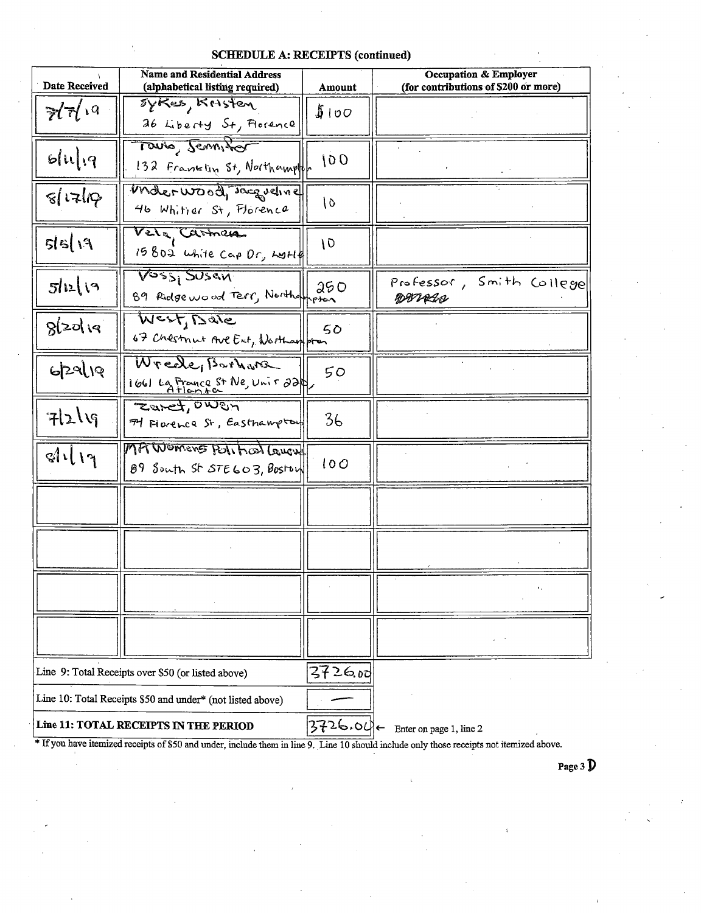| <b>Name and Residential Address</b><br>Date Received<br>(alphabetical listing required) |                                                            | Amount    | Occupation & Employer<br>(for contributions of \$200 or more) |  |
|-----------------------------------------------------------------------------------------|------------------------------------------------------------|-----------|---------------------------------------------------------------|--|
| $\overline{\mathcal{U}}\overline{\mathcal{U}}$ <sup>19</sup>                            | sykes, Kristen<br>26 Liberty St, Florence                  | 100       |                                                               |  |
| 51119                                                                                   | Touto, Seminar<br>132 Franklin St, Northampton             | 100       |                                                               |  |
| $\mathcal{E}$ $\mathcal{E}$                                                             | Matruosa Jacqueline<br>46 Whitier St, Florence             | 10        |                                                               |  |
| $f'$ ) a $\overline{c}$                                                                 | Vela Carmen<br>15802 white Cap Dr, Lott                    | 10        |                                                               |  |
| 512(3)                                                                                  | VOSSI SUSAN<br>89 Ridge wood Terr, Northampton             | 250       | Professor, Smith College<br><b>DWALN</b>                      |  |
| 82019                                                                                   | Mest, Dale<br>67 Chestnut Ave Ext, Northampton             | 50        |                                                               |  |
| 629/19                                                                                  | Wrede, Barnara<br>$1661$ La France St Ne, Unit 22          | 50        |                                                               |  |
| 7219                                                                                    | Zaret, OWEN<br>74 Florence St, Easthampton                 | 36        |                                                               |  |
| dl19                                                                                    | MAWOMENS POINT CONCLUCION<br>89 South St STE603, Boston    | 100       |                                                               |  |
|                                                                                         |                                                            |           |                                                               |  |
|                                                                                         |                                                            |           |                                                               |  |
|                                                                                         |                                                            |           | ٠.                                                            |  |
|                                                                                         |                                                            |           |                                                               |  |
|                                                                                         | Line 9: Total Receipts over \$50 (or listed above)         | 3726.00   |                                                               |  |
|                                                                                         | Line 10: Total Receipts \$50 and under* (not listed above) |           |                                                               |  |
|                                                                                         | Line 11: TOTAL RECEIPTS IN THE PERIOD                      | 3726.04)← | Enter on page 1, line 2                                       |  |

\* If you have itemized receipts of \$50 and under, include them in line 9. Line 10 should include only those receipts not itemized above.

Page 3  $\overline{D}$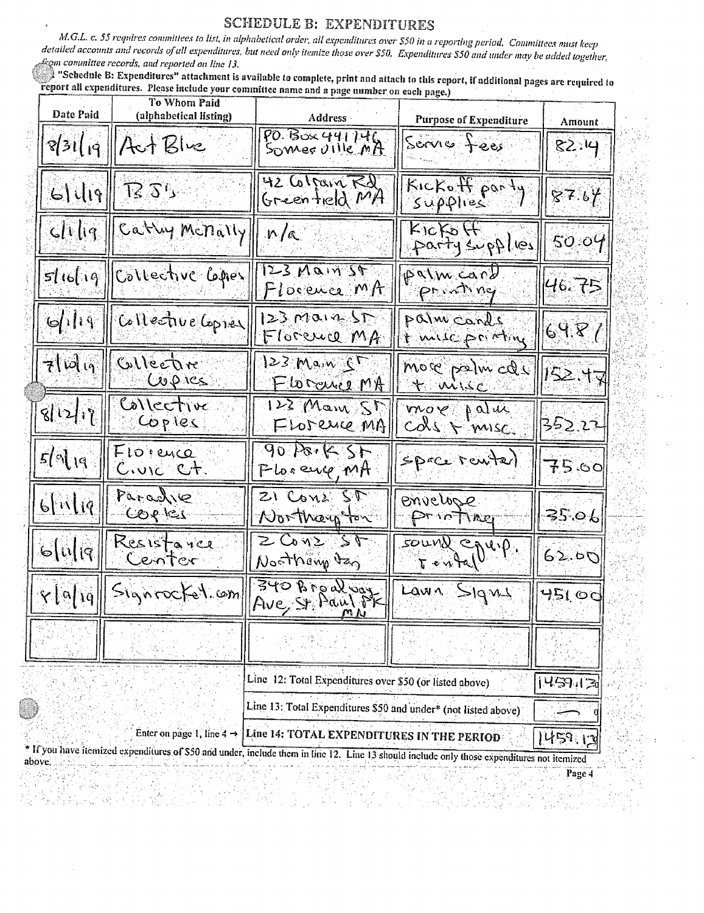#### **SCHEDULE B: EXPENDITURES**

M.G.L. c. 55 requires committees to list, in alphabetical order, all expenditures over \$50 in a reporting period. Committees must keep detailed accounts and records of all expenditures, but need only itemize those over \$50. Expenditures \$50 and under may be added together, from committee records, and reported on line 13.

Schednie B: Expenditures" attachment is available to complete, print and attach to this report, if additional pages are required to report all expenditures. Please include your committee name and a page number on each page.)

| Date Paid                                                                                                                                                                                                                                 | To Whom Paid<br>(alphabetical listing) | Address -                                               | <b>Purpose of Expenditure</b> | Amount |
|-------------------------------------------------------------------------------------------------------------------------------------------------------------------------------------------------------------------------------------------|----------------------------------------|---------------------------------------------------------|-------------------------------|--------|
|                                                                                                                                                                                                                                           | $3119$ Act Blue                        | PO. Box 441746<br>Somer Ulle MA                         | Servie fees                   | 82.14  |
|                                                                                                                                                                                                                                           | $61$ 419 73 $35$                       | 42 Colfain Rd<br>Greenfield MA                          | Kickoff port.<br>Supplies     | 87.64  |
|                                                                                                                                                                                                                                           | clilig Cathy Menally                   | n/a                                                     | Kickoff<br>Partysupplies      | 50.09  |
|                                                                                                                                                                                                                                           | slielig Gilective Grey                 | $123$ Main 24<br>Florence MA                            | palm cand                     | 46.75  |
| 6119                                                                                                                                                                                                                                      | Collective Copier                      | $123$ Main ST<br>Florence MA                            | palm cards<br>t mic printing  | 69.87  |
| $\mathcal{F}[\mathcal{W}]$                                                                                                                                                                                                                | Collective<br>Copres                   | $123$ Main $55$<br><u>Florance MA</u>                   | more palm cde                 | 152.17 |
| ั้งไ12/17                                                                                                                                                                                                                                 | Collective<br>Copies                   | 122 Mary St<br>FLOJENCE MA                              | move pature                   | 352.22 |
| $5/$ of 19                                                                                                                                                                                                                                | $F$ 10 euce<br><u>Civic Ct</u> .       | 3028.621<br>Plosence, MA                                | $spcc$ renter                 | 75.00  |
| $6$ [ir](q                                                                                                                                                                                                                                | Paraglie<br>$C$ $OQ$ $R$ $CQ$          | $21$ Cone ST<br>Northary ton                            | envelope.<br>Printing         | 35.06  |
| 6[ષ[զ                                                                                                                                                                                                                                     | Resistance<br>Center                   | 5000221<br>Nosthamp dag                                 | FOUND Coup                    | 62.50  |
| $\mathcal{C}[\alpha]$ iq                                                                                                                                                                                                                  | Signrockel.com                         | 340 Broal vay                                           | Lawn Signy                    | 45100  |
|                                                                                                                                                                                                                                           |                                        |                                                         |                               |        |
|                                                                                                                                                                                                                                           |                                        | Line 12: Total Expenditures over \$50 (or listed above) |                               | 145913 |
| Line 13: Total Expenditures \$50 and under* (not listed above)                                                                                                                                                                            |                                        |                                                         |                               |        |
| Enter on page 1, line 4 $\rightarrow$<br>Line 14: TOTAL EXPENDITURES IN THE PERIOD<br>459.<br>* If you have itemized expenditures of \$50 and under, include them in line 12. Line 13 should include only those expenditures not itemized |                                        |                                                         |                               |        |
| above.                                                                                                                                                                                                                                    |                                        |                                                         |                               |        |
|                                                                                                                                                                                                                                           |                                        |                                                         |                               | Page 4 |

8. X X  $\approx S_8$ - 국가 AS

480

> S. tý.

 $\mathbf{d}^{\mathcal{V}}$ ्र ज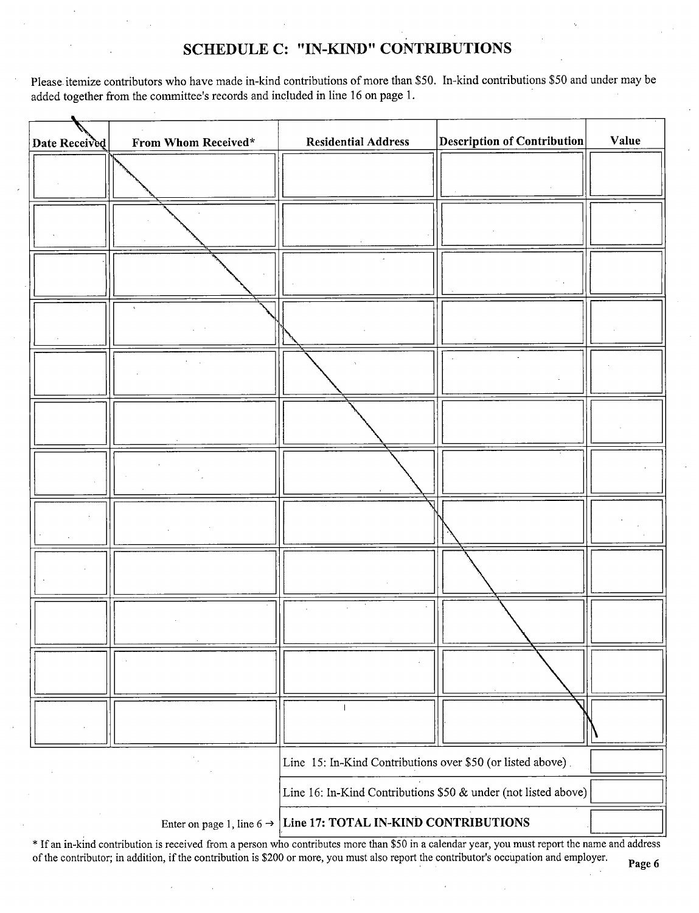## SCHEDULE C: "IN-KIND" CONTRIBUTIONS

Please itemize contributors who have made in-kind contributions of more than \$50. In-kind contributions \$50 and under may be added together from the committee's records and included in line 16 on page 1.

| Date Received | From Whom Received*                   | <b>Residential Address</b>                                     | $\vert$ Description of Contribution $\vert$ | Value |
|---------------|---------------------------------------|----------------------------------------------------------------|---------------------------------------------|-------|
|               |                                       |                                                                |                                             |       |
|               |                                       |                                                                |                                             |       |
|               |                                       |                                                                |                                             |       |
|               |                                       |                                                                |                                             |       |
|               |                                       |                                                                |                                             |       |
|               |                                       |                                                                |                                             |       |
|               |                                       |                                                                |                                             |       |
|               |                                       |                                                                |                                             |       |
|               |                                       |                                                                |                                             |       |
|               |                                       |                                                                |                                             |       |
|               |                                       |                                                                |                                             |       |
|               |                                       |                                                                |                                             |       |
|               |                                       | Line 15: In-Kind Contributions over \$50 (or listed above).    |                                             |       |
|               |                                       | Line 16: In-Kind Contributions \$50 & under (not listed above) |                                             |       |
|               | Enter on page 1, line 6 $\rightarrow$ | Line 17: TOTAL IN-KIND CONTRIBUTIONS                           |                                             |       |

If an in- kind contribution is received from <sup>a</sup> person who contributes more than\$ <sup>50</sup> in <sup>a</sup> calendar year, you must report the name and address of the contributor; in addition, if the contribution is \$200 or more, you must also report the contributor's occupation and employer.

÷.